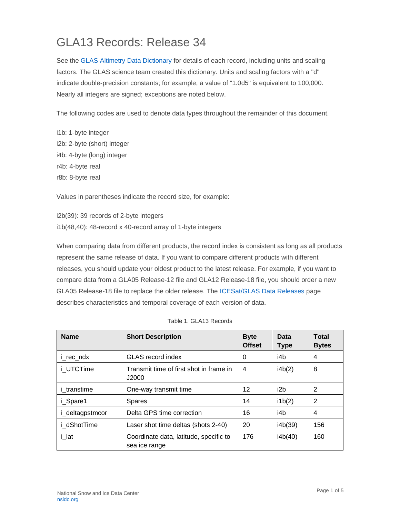## GLA13 Records: Release 34

See the [GLAS Altimetry Data Dictionary](https://nsidc.org/data/icesat/technical-references) for details of each record, including units and scaling factors. The GLAS science team created this dictionary. Units and scaling factors with a "d" indicate double-precision constants; for example, a value of "1.0d5" is equivalent to 100,000. Nearly all integers are signed; exceptions are noted below.

The following codes are used to denote data types throughout the remainder of this document.

i1b: 1-byte integer i2b: 2-byte (short) integer i4b: 4-byte (long) integer r4b: 4-byte real r8b: 8-byte real

Values in parentheses indicate the record size, for example:

i2b(39): 39 records of 2-byte integers i1b(48,40): 48-record x 40-record array of 1-byte integers

When comparing data from different products, the record index is consistent as long as all products represent the same release of data. If you want to compare different products with different releases, you should update your oldest product to the latest release. For example, if you want to compare data from a GLA05 Release-12 file and GLA12 Release-18 file, you should order a new GLA05 Release-18 file to replace the older release. The [ICESat/GLAS Data Releases](https://nsidc.org/data/icesat) page describes characteristics and temporal coverage of each version of data.

| <b>Name</b>        | <b>Short Description</b>                                | <b>Byte</b><br><b>Offset</b> | Data<br><b>Type</b> | <b>Total</b><br><b>Bytes</b> |
|--------------------|---------------------------------------------------------|------------------------------|---------------------|------------------------------|
| i_rec_ndx          | <b>GLAS</b> record index                                | 0                            | i4b                 | 4                            |
| i UTCTime          | Transmit time of first shot in frame in<br>J2000        | 4                            | i4b(2)              | 8                            |
| <i>i</i> transtime | One-way transmit time                                   | 12                           | i2b                 | 2                            |
| <i>i</i> Spare1    | <b>Spares</b>                                           | 14                           | i1b(2)              | 2                            |
| i_deltagpstmcor    | Delta GPS time correction                               | 16                           | i4b                 | 4                            |
| <i>i</i> dShotTime | Laser shot time deltas (shots 2-40)                     | 20                           | i4b(39)             | 156                          |
| i lat              | Coordinate data, latitude, specific to<br>sea ice range | 176                          | i4b(40)             | 160                          |

|  | Table 1. GLA13 Records |
|--|------------------------|
|  |                        |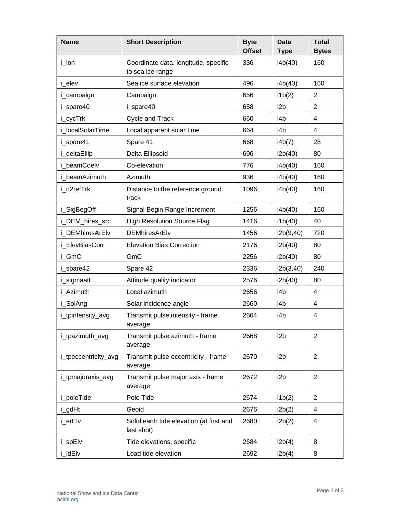| <b>Name</b>          | <b>Short Description</b>                                 | <b>Byte</b><br><b>Offset</b> | <b>Data</b><br><b>Type</b> | <b>Total</b><br><b>Bytes</b> |
|----------------------|----------------------------------------------------------|------------------------------|----------------------------|------------------------------|
| i_lon                | Coordinate data, longitude, specific<br>to sea ice range | 336                          | i4b(40)                    | 160                          |
| i elev               | Sea ice surface elevation                                | 496                          | i4b(40)                    | 160                          |
| i_campaign           | Campaign                                                 | 656                          | i1b(2)                     | 2                            |
| i spare40            | i spare40                                                | 658                          | i2b                        | $\overline{2}$               |
| i_cycTrk             | Cycle and Track                                          | 660                          | i4b                        | 4                            |
| i localSolarTime     | Local apparent solar time                                | 664                          | i4b                        | 4                            |
| i_spare41            | Spare 41                                                 | 668                          | i4b(7)                     | 28                           |
| i_deltaEllip         | Delta Ellipsoid                                          | 696                          | i2b(40)                    | 80                           |
| i beamCoelv          | Co-elevation                                             | 776                          | i4b(40)                    | 160                          |
| i beamAzimuth        | Azimuth                                                  | 936                          | i4b(40)                    | 160                          |
| i_d2refTrk           | Distance to the reference ground<br>track                | 1096                         | i4b(40)                    | 160                          |
| i_SigBegOff          | Signal Begin Range Increment                             | 1256                         | i4b(40)                    | 160                          |
| i_DEM_hires_src      | <b>High Resolution Source Flag</b>                       | 1416                         | i1b(40)                    | 40                           |
| i DEMhiresArElv      | <b>DEMhiresArElv</b>                                     | 1456                         | i2b(9,40)                  | 720                          |
| i ElevBiasCorr       | <b>Elevation Bias Correction</b>                         | 2176                         | i2b(40)                    | 80                           |
| i GmC                | GmC                                                      | 2256                         | i2b(40)                    | 80                           |
| i_spare42            | Spare 42                                                 | 2336                         | i2b(3,40)                  | 240                          |
| i_sigmaatt           | Attitude quality indicator                               | 2576                         | i2b(40)                    | 80                           |
| i Azimuth            | Local azimuth                                            | 2656                         | i4b                        | $\overline{4}$               |
| i_SolAng             | Solar incidence angle                                    | 2660                         | i4b                        | 4                            |
| i_tpintensity_avg    | Transmit pulse intensity - frame<br>average              | 2664                         | i4b                        | 4                            |
| i_tpazimuth_avg      | Transmit pulse azimuth - frame<br>average                | 2668                         | i <sub>2</sub> b           | 2                            |
| i_tpeccentricity_avg | Transmit pulse eccentricity - frame<br>average           | 2670                         | i <sub>2</sub> b           | $\overline{2}$               |
| i_tpmajoraxis_avg    | Transmit pulse major axis - frame<br>average             | 2672                         | i <sub>2</sub> b           | $\overline{2}$               |
| i_poleTide           | Pole Tide                                                | 2674                         | i1b(2)                     | $\overline{2}$               |
| i_gdHt               | Geoid                                                    | 2676                         | i2b(2)                     | 4                            |
| i_erElv              | Solid earth tide elevation (at first and<br>last shot)   | 2680                         | i2b(2)                     | 4                            |
| i_spElv              | Tide elevations, specific                                | 2684                         | i2b(4)                     | 8                            |
| i_ldElv              | Load tide elevation                                      | 2692                         | i2b(4)                     | 8                            |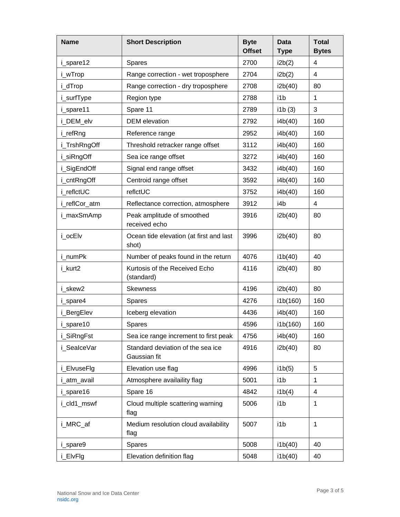| <b>Name</b>   | <b>Short Description</b>                          | <b>Byte</b><br><b>Offset</b> | <b>Data</b><br><b>Type</b> | <b>Total</b><br><b>Bytes</b> |
|---------------|---------------------------------------------------|------------------------------|----------------------------|------------------------------|
| i_spare12     | Spares                                            | 2700                         | i2b(2)                     | 4                            |
| i_wTrop       | Range correction - wet troposphere                | 2704                         | i2b(2)                     | 4                            |
| i_dTrop       | Range correction - dry troposphere                | 2708                         | i2b(40)                    | 80                           |
| i_surfType    | Region type                                       | 2788                         | i1b                        | $\mathbf{1}$                 |
| i_spare11     | Spare 11                                          | 2789                         | i1b(3)                     | 3                            |
| i_DEM_elv     | <b>DEM</b> elevation                              | 2792                         | i4b(40)                    | 160                          |
| i_refRng      | Reference range                                   | 2952                         | i4b(40)                    | 160                          |
| i_TrshRngOff  | Threshold retracker range offset                  | 3112                         | i4b(40)                    | 160                          |
| i_siRngOff    | Sea ice range offset                              | 3272                         | i4b(40)                    | 160                          |
| i_SigEndOff   | Signal end range offset                           | 3432                         | i4b(40)                    | 160                          |
| i_cntRngOff   | Centroid range offset                             | 3592                         | i4b(40)                    | 160                          |
| i reflctUC    | reflctUC                                          | 3752                         | i4b(40)                    | 160                          |
| i_reflCor_atm | Reflectance correction, atmosphere                | 3912                         | i4b                        | 4                            |
| i_maxSmAmp    | Peak amplitude of smoothed<br>received echo       | 3916                         | i2b(40)                    | 80                           |
| i_ocElv       | Ocean tide elevation (at first and last<br>shot)  | 3996                         | i2b(40)                    | 80                           |
| i numPk       | Number of peaks found in the return               | 4076                         | i1b(40)                    | 40                           |
| i_kurt2       | Kurtosis of the Received Echo<br>(standard)       | 4116                         | i2b(40)                    | 80                           |
| i skew2       | <b>Skewness</b>                                   | 4196                         | i2b(40)                    | 80                           |
| i_spare4      | Spares                                            | 4276                         | i1b(160)                   | 160                          |
| i_BergElev    | Iceberg elevation                                 | 4436                         | i4b(40)                    | 160                          |
| i_spare10     | Spares                                            | 4596                         | i1b(160)                   | 160                          |
| i_SiRngFst    | Sea ice range increment to first peak             | 4756                         | i4b(40)                    | 160                          |
| i_SealceVar   | Standard deviation of the sea ice<br>Gaussian fit | 4916                         | i2b(40)                    | 80                           |
| i_ElvuseFlg   | Elevation use flag                                | 4996                         | i1b(5)                     | 5                            |
| i_atm_avail   | Atmosphere availaility flag                       | 5001                         | i1b                        | 1                            |
| i_spare16     | Spare 16                                          | 4842                         | i1b(4)                     | 4                            |
| i_cld1_mswf   | Cloud multiple scattering warning<br>flag         | 5006                         | i1b                        | 1                            |
| i_MRC_af      | Medium resolution cloud availability<br>flag      | 5007                         | i1b                        | 1                            |
| i_spare9      | Spares                                            | 5008                         | i1b(40)                    | 40                           |
| i_ElvFlg      | Elevation definition flag                         | 5048                         | i1b(40)                    | 40                           |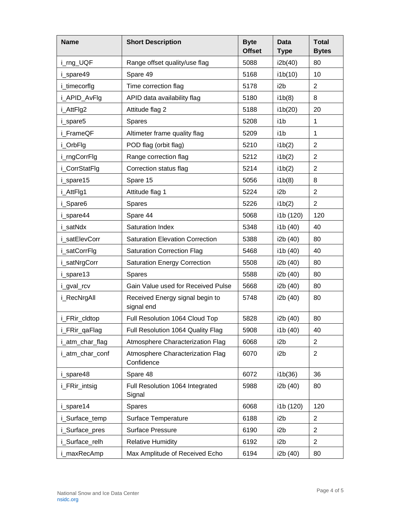| <b>Name</b>     | <b>Short Description</b>                       | <b>Byte</b><br><b>Offset</b> | <b>Data</b><br><b>Type</b> | <b>Total</b><br><b>Bytes</b> |
|-----------------|------------------------------------------------|------------------------------|----------------------------|------------------------------|
| i_rng_UQF       | Range offset quality/use flag                  | 5088                         | i2b(40)                    | 80                           |
| i_spare49       | Spare 49                                       | 5168                         | i1b(10)                    | 10                           |
| i_timecorflg    | Time correction flag                           | 5178                         | i2b                        | $\overline{2}$               |
| i_APID_AvFlg    | APID data availability flag                    | 5180                         | i1b(8)                     | 8                            |
| i_AttFlg2       | Attitude flag 2                                | 5188                         | i1b(20)                    | 20                           |
| i_spare5        | Spares                                         | 5208                         | i1b                        | 1                            |
| i FrameQF       | Altimeter frame quality flag                   | 5209                         | i1b                        | 1                            |
| i_OrbFlg        | POD flag (orbit flag)                          | 5210                         | i1b(2)                     | $\overline{2}$               |
| i_rngCorrFlg    | Range correction flag                          | 5212                         | i1b(2)                     | $\overline{2}$               |
| i_CorrStatFlg   | Correction status flag                         | 5214                         | i1b(2)                     | $\overline{2}$               |
| i spare15       | Spare 15                                       | 5056                         | i1b(8)                     | 8                            |
| i AttFlg1       | Attitude flag 1                                | 5224                         | i2b                        | $\overline{2}$               |
| i_Spare6        | <b>Spares</b>                                  | 5226                         | i1b(2)                     | $\overline{2}$               |
| i_spare44       | Spare 44                                       | 5068                         | i1b (120)                  | 120                          |
| i satNdx        | Saturation Index                               | 5348                         | i1b (40)                   | 40                           |
| i satElevCorr   | <b>Saturation Elevation Correction</b>         | 5388                         | i2b (40)                   | 80                           |
| i_satCorrFlg    | <b>Saturation Correction Flag</b>              | 5468                         | i1b (40)                   | 40                           |
| i_satNrgCorr    | <b>Saturation Energy Correction</b>            | 5508                         | i2b (40)                   | 80                           |
| i_spare13       | <b>Spares</b>                                  | 5588                         | i2b (40)                   | 80                           |
| i_gval_rcv      | Gain Value used for Received Pulse             | 5668                         | i2b (40)                   | 80                           |
| i_RecNrgAll     | Received Energy signal begin to<br>signal end  | 5748                         | i2b (40)                   | 80                           |
| i_FRir_cldtop   | Full Resolution 1064 Cloud Top                 | 5828                         | i2b (40)                   | 80                           |
| i_FRir_qaFlag   | Full Resolution 1064 Quality Flag              | 5908                         | i1b (40)                   | 40                           |
| i_atm_char_flag | Atmosphere Characterization Flag               | 6068                         | i <sub>2</sub> b           | $\overline{2}$               |
| i_atm_char_conf | Atmosphere Characterization Flag<br>Confidence | 6070                         | i2b                        | $\overline{2}$               |
| i_spare48       | Spare 48                                       | 6072                         | i1b(36)                    | 36                           |
| i_FRir_intsig   | Full Resolution 1064 Integrated<br>Signal      | 5988                         | i2b (40)                   | 80                           |
| i_spare14       | <b>Spares</b>                                  | 6068                         | i1b (120)                  | 120                          |
| i_Surface_temp  | Surface Temperature                            | 6188                         | i <sub>2</sub> b           | $\overline{2}$               |
| i_Surface_pres  | <b>Surface Pressure</b>                        | 6190                         | i <sub>2</sub> b           | $\overline{2}$               |
| i_Surface_relh  | <b>Relative Humidity</b>                       | 6192                         | i <sub>2</sub> b           | 2                            |
| i_maxRecAmp     | Max Amplitude of Received Echo                 | 6194                         | i2b (40)                   | 80                           |